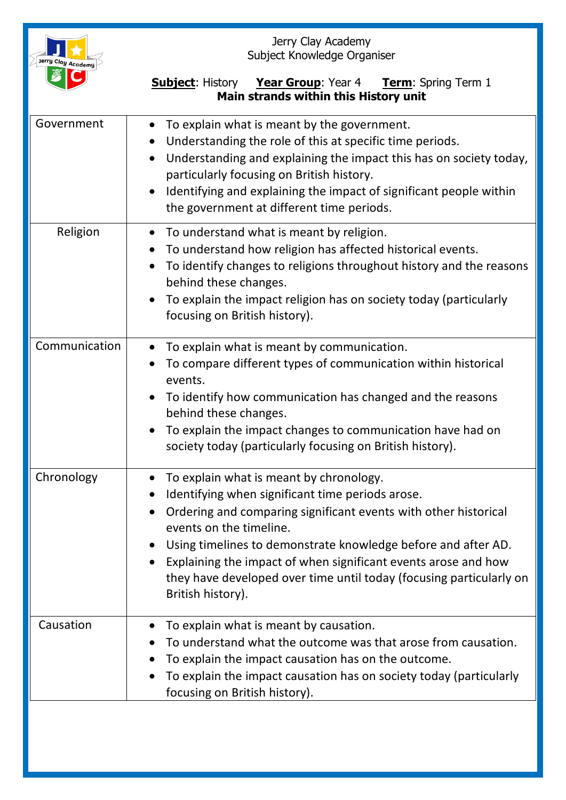| Jerry Clay Academy | Jerry Clay Academy<br>Subject Knowledge Organiser                                                                                                                                                                                                                                                                                                                                                                                                                                         |
|--------------------|-------------------------------------------------------------------------------------------------------------------------------------------------------------------------------------------------------------------------------------------------------------------------------------------------------------------------------------------------------------------------------------------------------------------------------------------------------------------------------------------|
|                    | <b>Subject:</b> History Year Group: Year 4 Term: Spring Term 1<br>Main strands within this History unit                                                                                                                                                                                                                                                                                                                                                                                   |
| Government         | To explain what is meant by the government.<br>$\bullet$<br>Understanding the role of this at specific time periods.<br>$\bullet$<br>Understanding and explaining the impact this has on society today,<br>$\bullet$<br>particularly focusing on British history.<br>Identifying and explaining the impact of significant people within<br>$\bullet$<br>the government at different time periods.                                                                                         |
| Religion           | To understand what is meant by religion.<br>$\bullet$<br>To understand how religion has affected historical events.<br>$\bullet$<br>To identify changes to religions throughout history and the reasons<br>$\bullet$<br>behind these changes.<br>To explain the impact religion has on society today (particularly<br>$\bullet$<br>focusing on British history).                                                                                                                          |
| Communication      | To explain what is meant by communication.<br>$\bullet$<br>To compare different types of communication within historical<br>events.<br>To identify how communication has changed and the reasons<br>behind these changes.<br>To explain the impact changes to communication have had on<br>society today (particularly focusing on British history).                                                                                                                                      |
| Chronology         | To explain what is meant by chronology.<br>$\bullet$<br>Identifying when significant time periods arose.<br>$\bullet$<br>Ordering and comparing significant events with other historical<br>$\bullet$<br>events on the timeline.<br>Using timelines to demonstrate knowledge before and after AD.<br>$\bullet$<br>Explaining the impact of when significant events arose and how<br>$\bullet$<br>they have developed over time until today (focusing particularly on<br>British history). |
| Causation          | To explain what is meant by causation.<br>To understand what the outcome was that arose from causation.<br>To explain the impact causation has on the outcome.<br>To explain the impact causation has on society today (particularly<br>$\bullet$<br>focusing on British history).                                                                                                                                                                                                        |